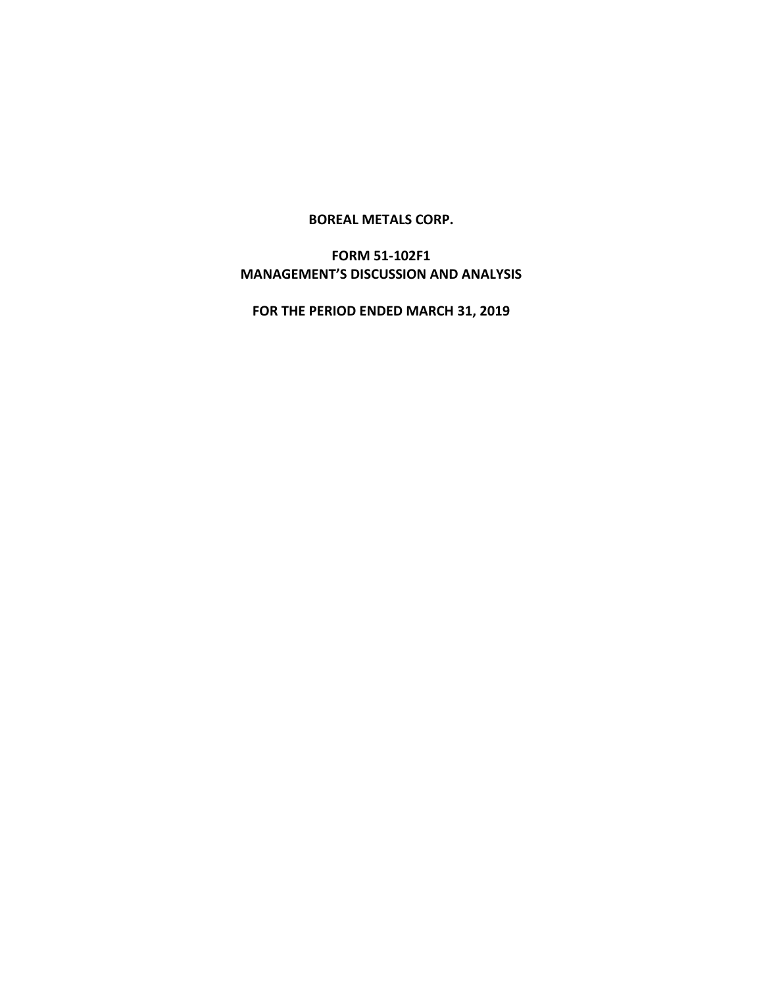## **BOREAL METALS CORP.**

# **FORM 51-102F1 MANAGEMENT'S DISCUSSION AND ANALYSIS**

**FOR THE PERIOD ENDED MARCH 31, 2019**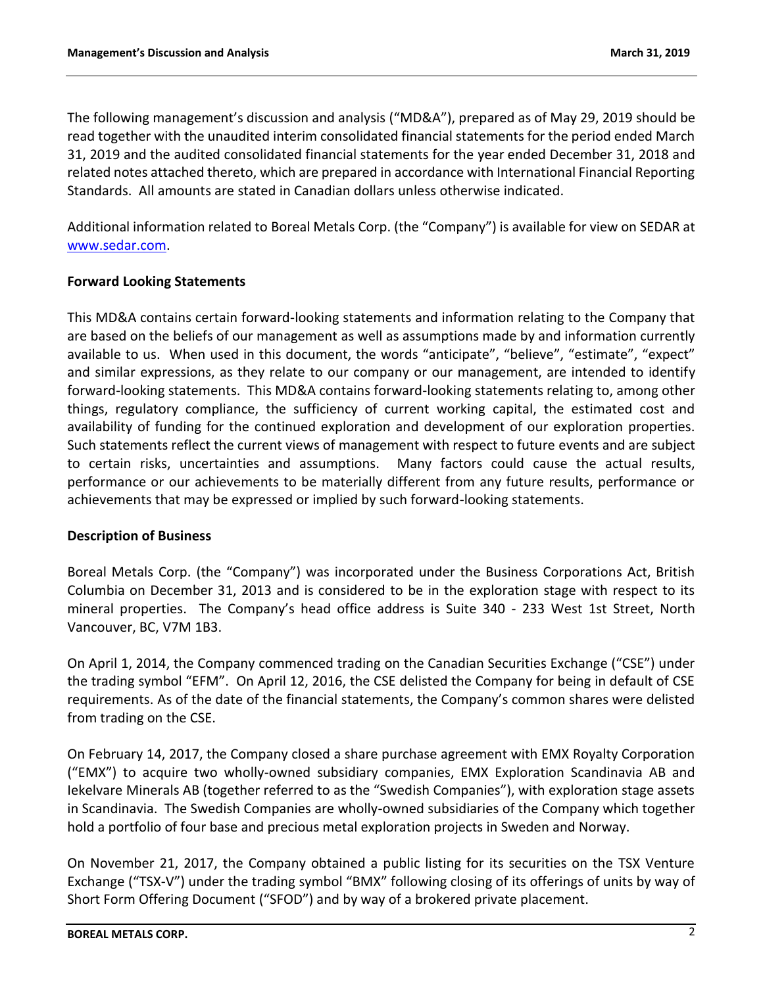The following management's discussion and analysis ("MD&A"), prepared as of May 29, 2019 should be read together with the unaudited interim consolidated financial statements for the period ended March 31, 2019 and the audited consolidated financial statements for the year ended December 31, 2018 and related notes attached thereto, which are prepared in accordance with International Financial Reporting Standards. All amounts are stated in Canadian dollars unless otherwise indicated.

Additional information related to Boreal Metals Corp. (the "Company") is available for view on SEDAR at [www.sedar.com.](http://www.sedar.com/)

## **Forward Looking Statements**

This MD&A contains certain forward-looking statements and information relating to the Company that are based on the beliefs of our management as well as assumptions made by and information currently available to us. When used in this document, the words "anticipate", "believe", "estimate", "expect" and similar expressions, as they relate to our company or our management, are intended to identify forward-looking statements. This MD&A contains forward-looking statements relating to, among other things, regulatory compliance, the sufficiency of current working capital, the estimated cost and availability of funding for the continued exploration and development of our exploration properties. Such statements reflect the current views of management with respect to future events and are subject to certain risks, uncertainties and assumptions. Many factors could cause the actual results, performance or our achievements to be materially different from any future results, performance or achievements that may be expressed or implied by such forward-looking statements.

## **Description of Business**

Boreal Metals Corp. (the "Company") was incorporated under the Business Corporations Act, British Columbia on December 31, 2013 and is considered to be in the exploration stage with respect to its mineral properties. The Company's head office address is Suite 340 - 233 West 1st Street, North Vancouver, BC, V7M 1B3.

On April 1, 2014, the Company commenced trading on the Canadian Securities Exchange ("CSE") under the trading symbol "EFM". On April 12, 2016, the CSE delisted the Company for being in default of CSE requirements. As of the date of the financial statements, the Company's common shares were delisted from trading on the CSE.

On February 14, 2017, the Company closed a share purchase agreement with EMX Royalty Corporation ("EMX") to acquire two wholly-owned subsidiary companies, EMX Exploration Scandinavia AB and Iekelvare Minerals AB (together referred to as the "Swedish Companies"), with exploration stage assets in Scandinavia. The Swedish Companies are wholly-owned subsidiaries of the Company which together hold a portfolio of four base and precious metal exploration projects in Sweden and Norway.

On November 21, 2017, the Company obtained a public listing for its securities on the TSX Venture Exchange ("TSX-V") under the trading symbol "BMX" following closing of its offerings of units by way of Short Form Offering Document ("SFOD") and by way of a brokered private placement.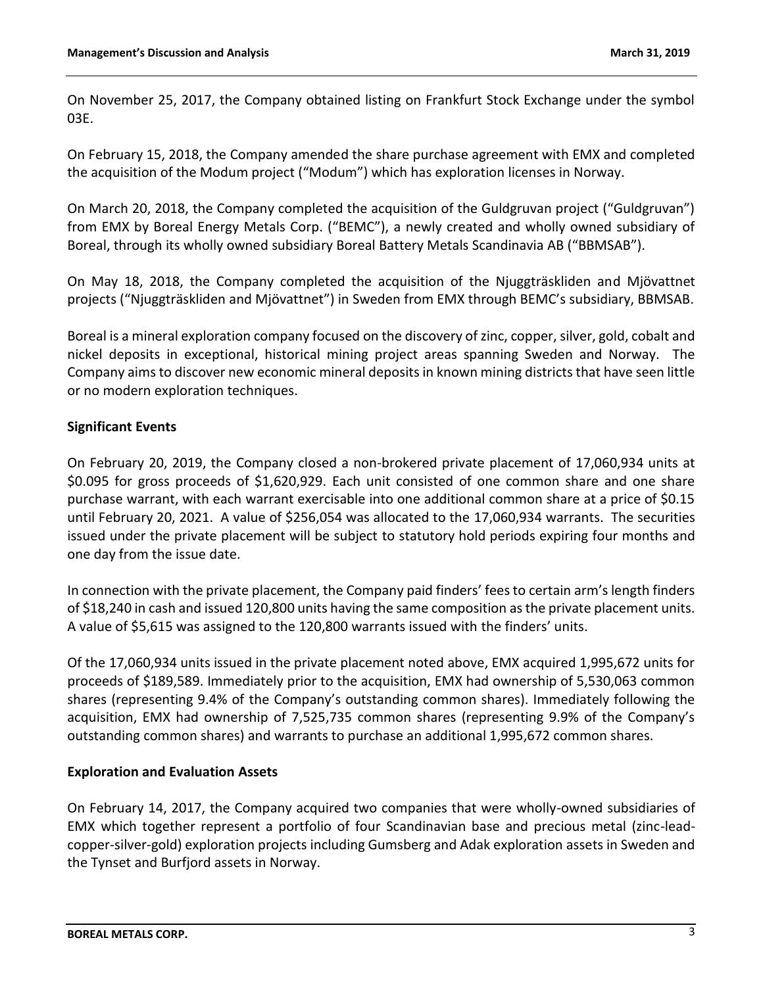On November 25, 2017, the Company obtained listing on Frankfurt Stock Exchange under the symbol 03E.

On February 15, 2018, the Company amended the share purchase agreement with EMX and completed the acquisition of the Modum project ("Modum") which has exploration licenses in Norway.

On March 20, 2018, the Company completed the acquisition of the Guldgruvan project ("Guldgruvan") from EMX by Boreal Energy Metals Corp. ("BEMC"), a newly created and wholly owned subsidiary of Boreal, through its wholly owned subsidiary Boreal Battery Metals Scandinavia AB ("BBMSAB").

On May 18, 2018, the Company completed the acquisition of the Njuggträskliden and Mjövattnet projects ("Njuggträskliden and Mjövattnet") in Sweden from EMX through BEMC's subsidiary, BBMSAB.

Boreal is a mineral exploration company focused on the discovery of zinc, copper, silver, gold, cobalt and nickel deposits in exceptional, historical mining project areas spanning Sweden and Norway. The Company aims to discover new economic mineral deposits in known mining districts that have seen little or no modern exploration techniques.

# **Significant Events**

On February 20, 2019, the Company closed a non-brokered private placement of 17,060,934 units at \$0.095 for gross proceeds of \$1,620,929. Each unit consisted of one common share and one share purchase warrant, with each warrant exercisable into one additional common share at a price of \$0.15 until February 20, 2021. A value of \$256,054 was allocated to the 17,060,934 warrants. The securities issued under the private placement will be subject to statutory hold periods expiring four months and one day from the issue date.

In connection with the private placement, the Company paid finders' fees to certain arm's length finders of \$18,240 in cash and issued 120,800 units having the same composition as the private placement units. A value of \$5,615 was assigned to the 120,800 warrants issued with the finders' units.

Of the 17,060,934 units issued in the private placement noted above, EMX acquired 1,995,672 units for proceeds of \$189,589. Immediately prior to the acquisition, EMX had ownership of 5,530,063 common shares (representing 9.4% of the Company's outstanding common shares). Immediately following the acquisition, EMX had ownership of 7,525,735 common shares (representing 9.9% of the Company's outstanding common shares) and warrants to purchase an additional 1,995,672 common shares.

## **Exploration and Evaluation Assets**

On February 14, 2017, the Company acquired two companies that were wholly-owned subsidiaries of EMX which together represent a portfolio of four Scandinavian base and precious metal (zinc-leadcopper-silver-gold) exploration projects including Gumsberg and Adak exploration assets in Sweden and the Tynset and Burfjord assets in Norway.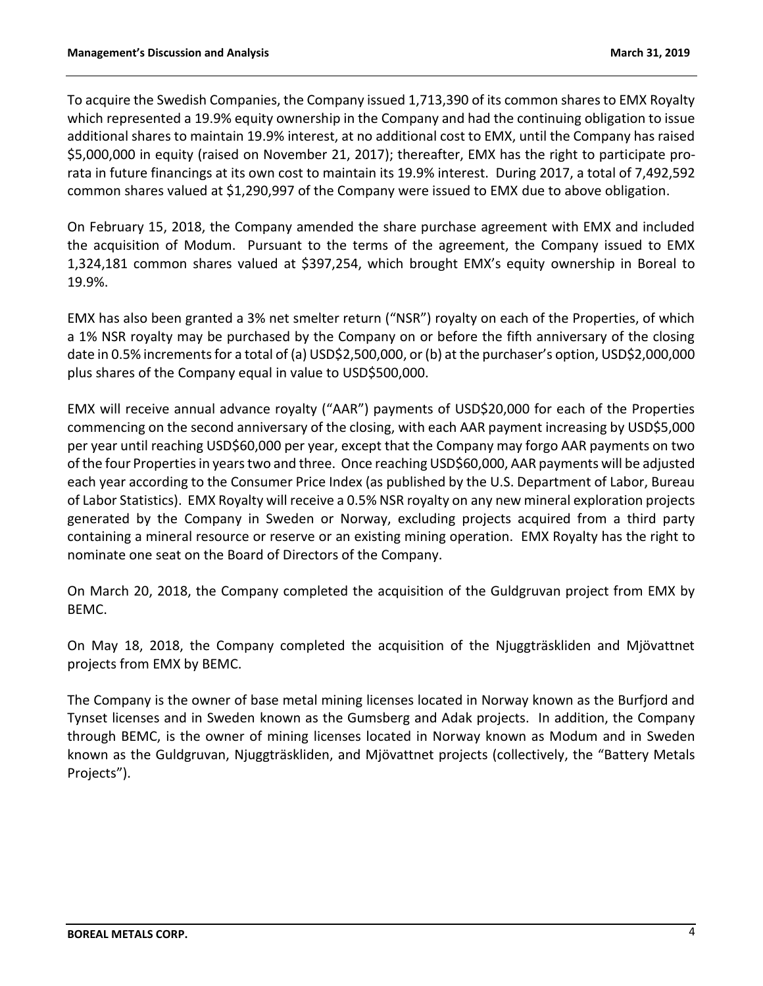To acquire the Swedish Companies, the Company issued 1,713,390 of its common shares to EMX Royalty which represented a 19.9% equity ownership in the Company and had the continuing obligation to issue additional shares to maintain 19.9% interest, at no additional cost to EMX, until the Company has raised \$5,000,000 in equity (raised on November 21, 2017); thereafter, EMX has the right to participate prorata in future financings at its own cost to maintain its 19.9% interest. During 2017, a total of 7,492,592 common shares valued at \$1,290,997 of the Company were issued to EMX due to above obligation.

On February 15, 2018, the Company amended the share purchase agreement with EMX and included the acquisition of Modum. Pursuant to the terms of the agreement, the Company issued to EMX 1,324,181 common shares valued at \$397,254, which brought EMX's equity ownership in Boreal to 19.9%.

EMX has also been granted a 3% net smelter return ("NSR") royalty on each of the Properties, of which a 1% NSR royalty may be purchased by the Company on or before the fifth anniversary of the closing date in 0.5% increments for a total of (a) USD\$2,500,000, or (b) at the purchaser's option, USD\$2,000,000 plus shares of the Company equal in value to USD\$500,000.

EMX will receive annual advance royalty ("AAR") payments of USD\$20,000 for each of the Properties commencing on the second anniversary of the closing, with each AAR payment increasing by USD\$5,000 per year until reaching USD\$60,000 per year, except that the Company may forgo AAR payments on two of the four Properties in years two and three. Once reaching USD\$60,000, AAR payments will be adjusted each year according to the Consumer Price Index (as published by the U.S. Department of Labor, Bureau of Labor Statistics). EMX Royalty will receive a 0.5% NSR royalty on any new mineral exploration projects generated by the Company in Sweden or Norway, excluding projects acquired from a third party containing a mineral resource or reserve or an existing mining operation. EMX Royalty has the right to nominate one seat on the Board of Directors of the Company.

On March 20, 2018, the Company completed the acquisition of the Guldgruvan project from EMX by BEMC.

On May 18, 2018, the Company completed the acquisition of the Njuggträskliden and Mjövattnet projects from EMX by BEMC.

The Company is the owner of base metal mining licenses located in Norway known as the Burfjord and Tynset licenses and in Sweden known as the Gumsberg and Adak projects. In addition, the Company through BEMC, is the owner of mining licenses located in Norway known as Modum and in Sweden known as the Guldgruvan, Njuggträskliden, and Mjövattnet projects (collectively, the "Battery Metals Projects").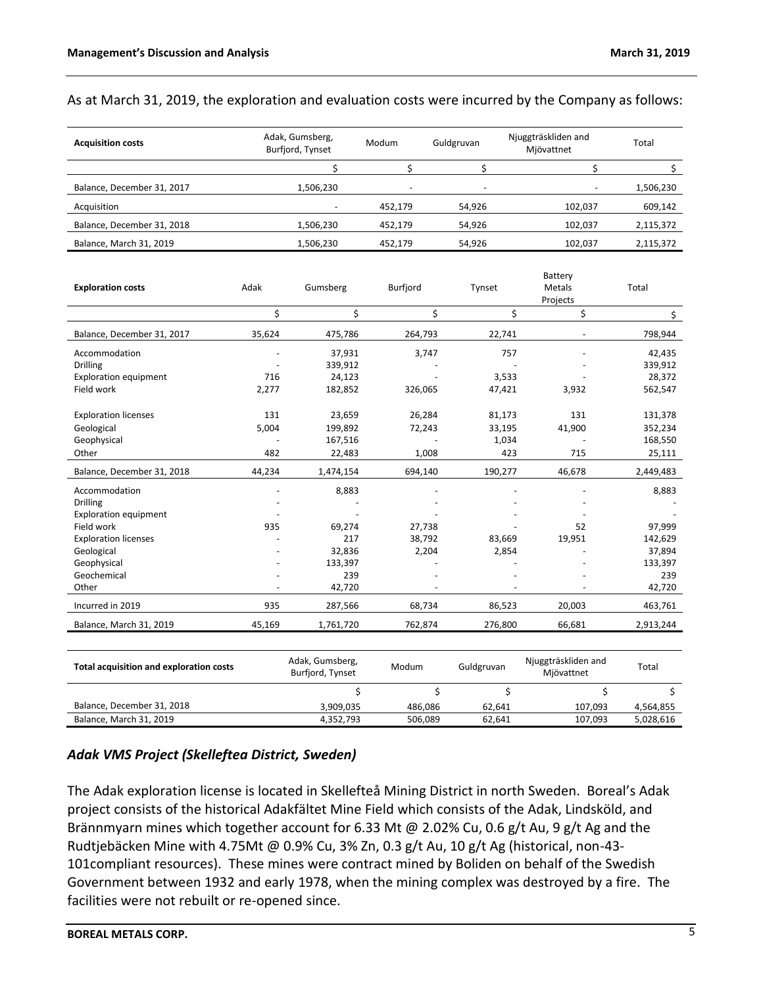### As at March 31, 2019, the exploration and evaluation costs were incurred by the Company as follows:

| <b>Acquisition costs</b>   | Adak, Gumsberg,<br>Burfjord, Tynset | Modum                    | Guldgruvan               | Njuggträskliden and<br>Mjövattnet | Total     |
|----------------------------|-------------------------------------|--------------------------|--------------------------|-----------------------------------|-----------|
|                            |                                     |                          |                          |                                   |           |
| Balance, December 31, 2017 | 1,506,230                           | $\overline{\phantom{a}}$ | $\overline{\phantom{a}}$ | $\overline{\phantom{a}}$          | 1,506,230 |
| Acquisition                | $\overline{\phantom{a}}$            | 452,179                  | 54,926                   | 102,037                           | 609,142   |
| Balance, December 31, 2018 | 1,506,230                           | 452,179                  | 54,926                   | 102.037                           | 2,115,372 |
| Balance, March 31, 2019    | 1,506,230                           | 452.179                  | 54,926                   | 102.037                           | 2,115,372 |

|                                                |        |                                     |          |            | Battery                           |           |
|------------------------------------------------|--------|-------------------------------------|----------|------------|-----------------------------------|-----------|
| <b>Exploration costs</b>                       | Adak   | Gumsberg                            | Burfjord | Tynset     | Metals                            | Total     |
|                                                |        |                                     |          |            | Projects                          |           |
|                                                | \$     | \$                                  | \$       | \$         | \$                                | \$        |
| Balance, December 31, 2017                     | 35,624 | 475,786                             | 264,793  | 22,741     | $\overline{\phantom{a}}$          | 798,944   |
| Accommodation                                  |        | 37,931                              | 3,747    | 757        |                                   | 42,435    |
| <b>Drilling</b>                                |        | 339,912                             |          |            |                                   | 339,912   |
| <b>Exploration equipment</b>                   | 716    | 24,123                              |          | 3,533      |                                   | 28,372    |
| Field work                                     | 2,277  | 182,852                             | 326,065  | 47,421     | 3,932                             | 562,547   |
| <b>Exploration licenses</b>                    | 131    | 23,659                              | 26,284   | 81,173     | 131                               | 131,378   |
| Geological                                     | 5,004  | 199,892                             | 72,243   | 33,195     | 41,900                            | 352,234   |
| Geophysical                                    |        | 167,516                             |          | 1,034      |                                   | 168,550   |
| Other                                          | 482    | 22,483                              | 1,008    | 423        | 715                               | 25,111    |
| Balance, December 31, 2018                     | 44,234 | 1,474,154                           | 694,140  | 190,277    | 46,678                            | 2,449,483 |
| Accommodation                                  |        | 8,883                               |          |            |                                   | 8,883     |
| Drilling                                       |        |                                     |          |            |                                   |           |
| <b>Exploration equipment</b>                   |        |                                     |          |            |                                   |           |
| Field work                                     | 935    | 69,274                              | 27,738   |            | 52                                | 97,999    |
| <b>Exploration licenses</b>                    |        | 217                                 | 38,792   | 83,669     | 19,951                            | 142,629   |
| Geological                                     |        | 32,836                              | 2,204    | 2,854      |                                   | 37,894    |
| Geophysical                                    |        | 133,397                             |          |            |                                   | 133,397   |
| Geochemical                                    |        | 239                                 |          |            |                                   | 239       |
| Other                                          |        | 42,720                              |          |            |                                   | 42,720    |
| Incurred in 2019                               | 935    | 287,566                             | 68,734   | 86,523     | 20,003                            | 463,761   |
| Balance, March 31, 2019                        | 45,169 | 1,761,720                           | 762,874  | 276,800    | 66,681                            | 2,913,244 |
|                                                |        |                                     |          |            |                                   |           |
| <b>Total acquisition and exploration costs</b> |        | Adak, Gumsberg,<br>Burfjord, Tynset | Modum    | Guldgruvan | Njuggträskliden and<br>Mjövattnet | Total     |
|                                                |        | \$                                  | \$       | \$         | \$                                | \$        |
| Balance, December 31, 2018                     |        | 3,909,035                           | 486,086  | 62,641     | 107,093                           | 4,564,855 |
| Balance, March 31, 2019                        |        | 4,352,793                           | 506,089  | 62,641     | 107,093                           | 5,028,616 |

# *Adak VMS Project (Skelleftea District, Sweden)*

The Adak exploration license is located in Skellefteå Mining District in north Sweden. Boreal's Adak project consists of the historical Adakfältet Mine Field which consists of the Adak, Lindsköld, and Brännmyarn mines which together account for 6.33 Mt @ 2.02% Cu, 0.6 g/t Au, 9 g/t Ag and the Rudtjebäcken Mine with 4.75Mt @ 0.9% Cu, 3% Zn, 0.3 g/t Au, 10 g/t Ag (historical, non-43- 101compliant resources). These mines were contract mined by Boliden on behalf of the Swedish Government between 1932 and early 1978, when the mining complex was destroyed by a fire. The facilities were not rebuilt or re-opened since.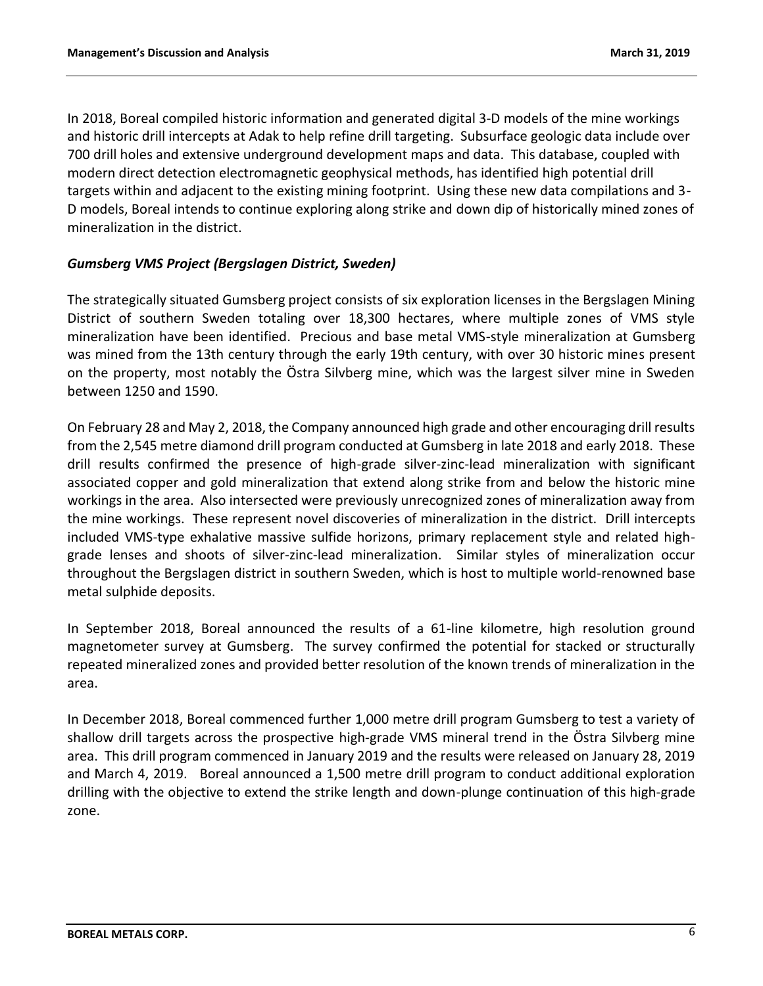In 2018, Boreal compiled historic information and generated digital 3-D models of the mine workings and historic drill intercepts at Adak to help refine drill targeting. Subsurface geologic data include over 700 drill holes and extensive underground development maps and data. This database, coupled with modern direct detection electromagnetic geophysical methods, has identified high potential drill targets within and adjacent to the existing mining footprint. Using these new data compilations and 3- D models, Boreal intends to continue exploring along strike and down dip of historically mined zones of mineralization in the district.

## *Gumsberg VMS Project (Bergslagen District, Sweden)*

The strategically situated Gumsberg project consists of six exploration licenses in the Bergslagen Mining District of southern Sweden totaling over 18,300 hectares, where multiple zones of VMS style mineralization have been identified. Precious and base metal VMS-style mineralization at Gumsberg was mined from the 13th century through the early 19th century, with over 30 historic mines present on the property, most notably the Östra Silvberg mine, which was the largest silver mine in Sweden between 1250 and 1590.

On February 28 and May 2, 2018, the Company announced high grade and other encouraging drill results from the 2,545 metre diamond drill program conducted at Gumsberg in late 2018 and early 2018. These drill results confirmed the presence of high-grade silver-zinc-lead mineralization with significant associated copper and gold mineralization that extend along strike from and below the historic mine workings in the area. Also intersected were previously unrecognized zones of mineralization away from the mine workings. These represent novel discoveries of mineralization in the district. Drill intercepts included VMS-type exhalative massive sulfide horizons, primary replacement style and related highgrade lenses and shoots of silver-zinc-lead mineralization. Similar styles of mineralization occur throughout the Bergslagen district in southern Sweden, which is host to multiple world-renowned base metal sulphide deposits.

In September 2018, Boreal announced the results of a 61-line kilometre, high resolution ground magnetometer survey at Gumsberg. The survey confirmed the potential for stacked or structurally repeated mineralized zones and provided better resolution of the known trends of mineralization in the area.

In December 2018, Boreal commenced further 1,000 metre drill program Gumsberg to test a variety of shallow drill targets across the prospective high-grade VMS mineral trend in the Östra Silvberg mine area. This drill program commenced in January 2019 and the results were released on January 28, 2019 and March 4, 2019. Boreal announced a 1,500 metre drill program to conduct additional exploration drilling with the objective to extend the strike length and down-plunge continuation of this high-grade zone.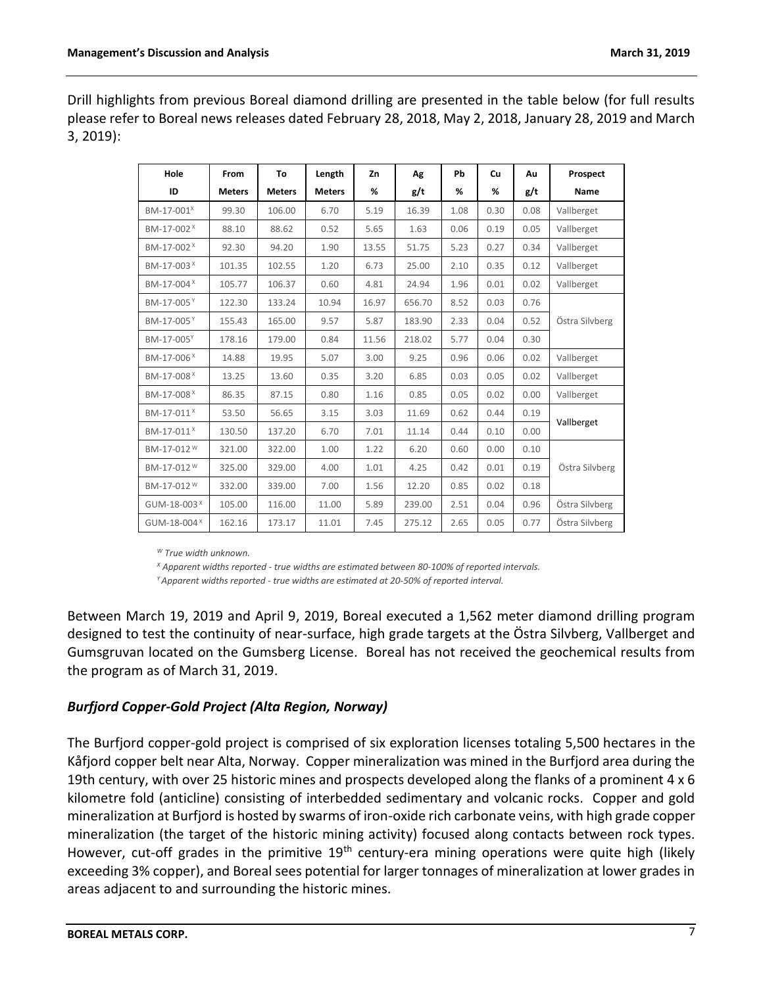Drill highlights from previous Boreal diamond drilling are presented in the table below (for full results please refer to Boreal news releases dated February 28, 2018, May 2, 2018, January 28, 2019 and March 3, 2019):

| Hole                    | From          | To            | Length        | Zn    | Ag     | Pb   | Cu   | Au   | Prospect       |  |
|-------------------------|---------------|---------------|---------------|-------|--------|------|------|------|----------------|--|
| ID                      | <b>Meters</b> | <b>Meters</b> | <b>Meters</b> | %     | g/t    | %    | %    | g/t  | Name           |  |
| BM-17-001 <sup>x</sup>  | 99.30         | 106.00        | 6.70          | 5.19  | 16.39  | 1.08 | 0.30 | 0.08 | Vallberget     |  |
| BM-17-002 <sup>X</sup>  | 88.10         | 88.62         | 0.52          | 5.65  | 1.63   | 0.06 | 0.19 | 0.05 | Vallberget     |  |
| BM-17-002 <sup>x</sup>  | 92.30         | 94.20         | 1.90          | 13.55 | 51.75  | 5.23 | 0.27 | 0.34 | Vallberget     |  |
| BM-17-003 <sup>X</sup>  | 101.35        | 102.55        | 1.20          | 6.73  | 25.00  | 2.10 | 0.35 | 0.12 | Vallberget     |  |
| BM-17-004 <sup>X</sup>  | 105.77        | 106.37        | 0.60          | 4.81  | 24.94  | 1.96 | 0.01 | 0.02 | Vallberget     |  |
| BM-17-005Y              | 122.30        | 133.24        | 10.94         | 16.97 | 656.70 | 8.52 | 0.03 | 0.76 |                |  |
| BM-17-005 <sup>Y</sup>  | 155.43        | 165.00        | 9.57          | 5.87  | 183.90 | 2.33 | 0.04 | 0.52 | Östra Silvberg |  |
| BM-17-005Y              | 178.16        | 179.00        | 0.84          | 11.56 | 218.02 | 5.77 | 0.04 | 0.30 |                |  |
| BM-17-006 <sup>x</sup>  | 14.88         | 19.95         | 5.07          | 3.00  | 9.25   | 0.96 | 0.06 | 0.02 | Vallberget     |  |
| BM-17-008 <sup>X</sup>  | 13.25         | 13.60         | 0.35          | 3.20  | 6.85   | 0.03 | 0.05 | 0.02 | Vallberget     |  |
| BM-17-008 <sup>X</sup>  | 86.35         | 87.15         | 0.80          | 1.16  | 0.85   | 0.05 | 0.02 | 0.00 | Vallberget     |  |
| BM-17-011 <sup>x</sup>  | 53.50         | 56.65         | 3.15          | 3.03  | 11.69  | 0.62 | 0.44 | 0.19 |                |  |
| BM-17-011 <sup>X</sup>  | 130.50        | 137.20        | 6.70          | 7.01  | 11.14  | 0.44 | 0.10 | 0.00 | Vallberget     |  |
| BM-17-012 <sup>W</sup>  | 321.00        | 322.00        | 1.00          | 1.22  | 6.20   | 0.60 | 0.00 | 0.10 |                |  |
| BM-17-012 <sup>W</sup>  | 325.00        | 329.00        | 4.00          | 1.01  | 4.25   | 0.42 | 0.01 | 0.19 | Östra Silvberg |  |
| BM-17-012 <sup>W</sup>  | 332.00        | 339.00        | 7.00          | 1.56  | 12.20  | 0.85 | 0.02 | 0.18 |                |  |
| GUM-18-003 <sup>X</sup> | 105.00        | 116.00        | 11.00         | 5.89  | 239.00 | 2.51 | 0.04 | 0.96 | Östra Silvberg |  |
| GUM-18-004 <sup>X</sup> | 162.16        | 173.17        | 11.01         | 7.45  | 275.12 | 2.65 | 0.05 | 0.77 | Östra Silvberg |  |

*<sup>W</sup> True width unknown.*

*<sup>X</sup> Apparent widths reported - true widths are estimated between 80-100% of reported intervals.*

*<sup>Y</sup>Apparent widths reported - true widths are estimated at 20-50% of reported interval.*

Between March 19, 2019 and April 9, 2019, Boreal executed a 1,562 meter diamond drilling program designed to test the continuity of near-surface, high grade targets at the Östra Silvberg, Vallberget and Gumsgruvan located on the Gumsberg License. Boreal has not received the geochemical results from the program as of March 31, 2019.

## *Burfjord Copper-Gold Project (Alta Region, Norway)*

The Burfjord copper-gold project is comprised of six exploration licenses totaling 5,500 hectares in the Kåfjord copper belt near Alta, Norway. Copper mineralization was mined in the Burfjord area during the 19th century, with over 25 historic mines and prospects developed along the flanks of a prominent 4 x 6 kilometre fold (anticline) consisting of interbedded sedimentary and volcanic rocks. Copper and gold mineralization at Burfjord is hosted by swarms of iron-oxide rich carbonate veins, with high grade copper mineralization (the target of the historic mining activity) focused along contacts between rock types. However, cut-off grades in the primitive 19<sup>th</sup> century-era mining operations were quite high (likely exceeding 3% copper), and Boreal sees potential for larger tonnages of mineralization at lower grades in areas adjacent to and surrounding the historic mines.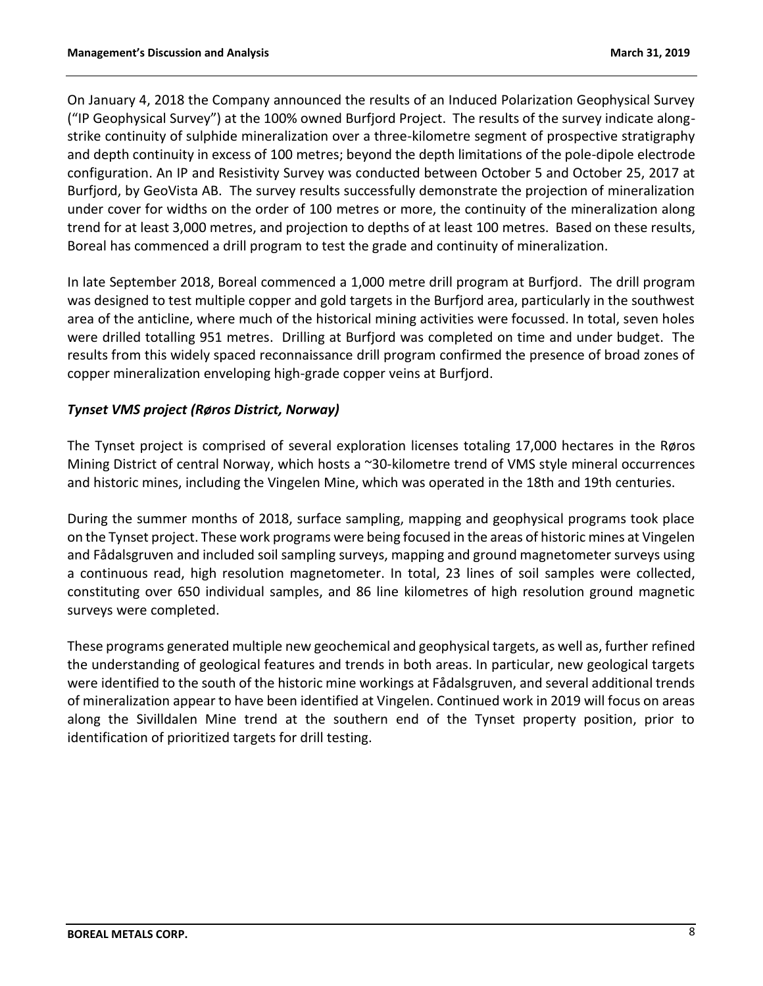On January 4, 2018 the Company announced the results of an Induced Polarization Geophysical Survey ("IP Geophysical Survey") at the 100% owned Burfjord Project. The results of the survey indicate alongstrike continuity of sulphide mineralization over a three-kilometre segment of prospective stratigraphy and depth continuity in excess of 100 metres; beyond the depth limitations of the pole-dipole electrode configuration. An IP and Resistivity Survey was conducted between October 5 and October 25, 2017 at Burfjord, by GeoVista AB. The survey results successfully demonstrate the projection of mineralization under cover for widths on the order of 100 metres or more, the continuity of the mineralization along trend for at least 3,000 metres, and projection to depths of at least 100 metres. Based on these results, Boreal has commenced a drill program to test the grade and continuity of mineralization.

In late September 2018, Boreal commenced a 1,000 metre drill program at Burfjord. The drill program was designed to test multiple copper and gold targets in the Burfjord area, particularly in the southwest area of the anticline, where much of the historical mining activities were focussed. In total, seven holes were drilled totalling 951 metres. Drilling at Burfjord was completed on time and under budget. The results from this widely spaced reconnaissance drill program confirmed the presence of broad zones of copper mineralization enveloping high-grade copper veins at Burfjord.

# *Tynset VMS project (Røros District, Norway)*

The Tynset project is comprised of several exploration licenses totaling 17,000 hectares in the Røros Mining District of central Norway, which hosts a ~30-kilometre trend of VMS style mineral occurrences and historic mines, including the Vingelen Mine, which was operated in the 18th and 19th centuries.

During the summer months of 2018, surface sampling, mapping and geophysical programs took place on the Tynset project. These work programs were being focused in the areas of historic mines at Vingelen and Fådalsgruven and included soil sampling surveys, mapping and ground magnetometer surveys using a continuous read, high resolution magnetometer. In total, 23 lines of soil samples were collected, constituting over 650 individual samples, and 86 line kilometres of high resolution ground magnetic surveys were completed.

These programs generated multiple new geochemical and geophysical targets, as well as, further refined the understanding of geological features and trends in both areas. In particular, new geological targets were identified to the south of the historic mine workings at Fådalsgruven, and several additional trends of mineralization appear to have been identified at Vingelen. Continued work in 2019 will focus on areas along the Sivilldalen Mine trend at the southern end of the Tynset property position, prior to identification of prioritized targets for drill testing.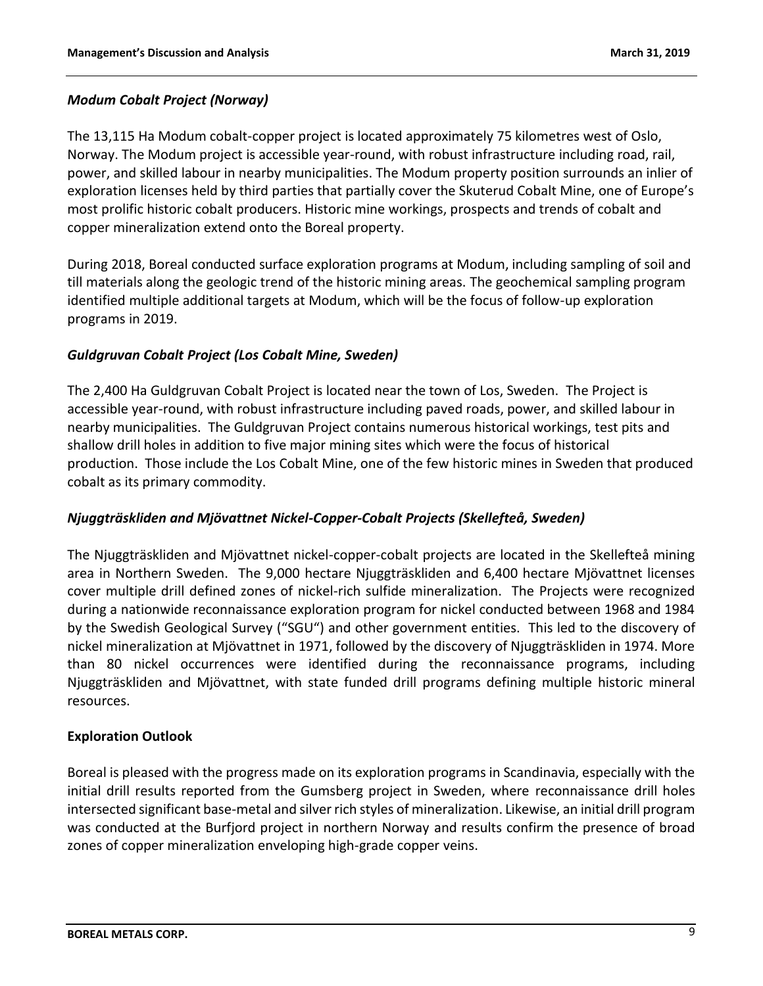# *Modum Cobalt Project (Norway)*

The 13,115 Ha Modum cobalt-copper project is located approximately 75 kilometres west of Oslo, Norway. The Modum project is accessible year-round, with robust infrastructure including road, rail, power, and skilled labour in nearby municipalities. The Modum property position surrounds an inlier of exploration licenses held by third parties that partially cover the Skuterud Cobalt Mine, one of Europe's most prolific historic cobalt producers. Historic mine workings, prospects and trends of cobalt and copper mineralization extend onto the Boreal property.

During 2018, Boreal conducted surface exploration programs at Modum, including sampling of soil and till materials along the geologic trend of the historic mining areas. The geochemical sampling program identified multiple additional targets at Modum, which will be the focus of follow-up exploration programs in 2019.

## *Guldgruvan Cobalt Project (Los Cobalt Mine, Sweden)*

The 2,400 Ha Guldgruvan Cobalt Project is located near the town of Los, Sweden. The Project is accessible year-round, with robust infrastructure including paved roads, power, and skilled labour in nearby municipalities. The Guldgruvan Project contains numerous historical workings, test pits and shallow drill holes in addition to five major mining sites which were the focus of historical production. Those include the Los Cobalt Mine, one of the few historic mines in Sweden that produced cobalt as its primary commodity.

## *Njuggträskliden and Mjövattnet Nickel-Copper-Cobalt Projects (Skellefteå, Sweden)*

The Njuggträskliden and Mjövattnet nickel-copper-cobalt projects are located in the Skellefteå mining area in Northern Sweden. The 9,000 hectare Njuggträskliden and 6,400 hectare Mjövattnet licenses cover multiple drill defined zones of nickel-rich sulfide mineralization. The Projects were recognized during a nationwide reconnaissance exploration program for nickel conducted between 1968 and 1984 by the Swedish Geological Survey ("SGU") and other government entities. This led to the discovery of nickel mineralization at Mjövattnet in 1971, followed by the discovery of Njuggträskliden in 1974. More than 80 nickel occurrences were identified during the reconnaissance programs, including Njuggträskliden and Mjövattnet, with state funded drill programs defining multiple historic mineral resources.

## **Exploration Outlook**

Boreal is pleased with the progress made on its exploration programs in Scandinavia, especially with the initial drill results reported from the Gumsberg project in Sweden, where reconnaissance drill holes intersected significant base-metal and silver rich styles of mineralization. Likewise, an initial drill program was conducted at the Burfjord project in northern Norway and results confirm the presence of broad zones of copper mineralization enveloping high-grade copper veins.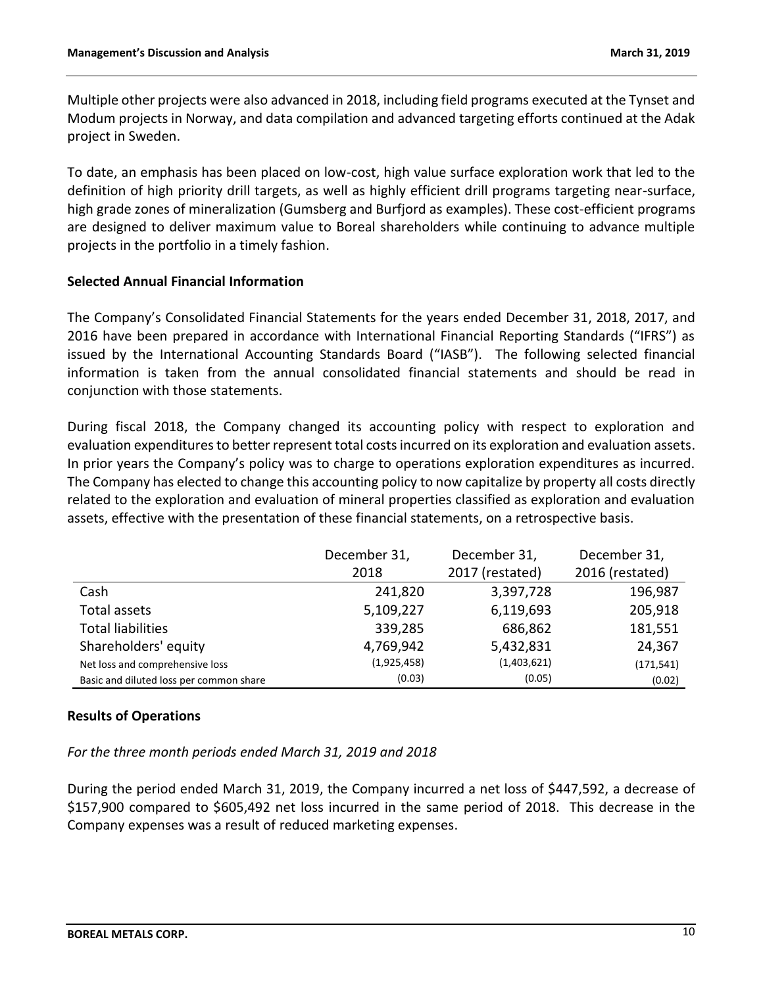Multiple other projects were also advanced in 2018, including field programs executed at the Tynset and Modum projects in Norway, and data compilation and advanced targeting efforts continued at the Adak project in Sweden.

To date, an emphasis has been placed on low-cost, high value surface exploration work that led to the definition of high priority drill targets, as well as highly efficient drill programs targeting near-surface, high grade zones of mineralization (Gumsberg and Burfjord as examples). These cost-efficient programs are designed to deliver maximum value to Boreal shareholders while continuing to advance multiple projects in the portfolio in a timely fashion.

## **Selected Annual Financial Information**

The Company's Consolidated Financial Statements for the years ended December 31, 2018, 2017, and 2016 have been prepared in accordance with International Financial Reporting Standards ("IFRS") as issued by the International Accounting Standards Board ("IASB"). The following selected financial information is taken from the annual consolidated financial statements and should be read in conjunction with those statements.

During fiscal 2018, the Company changed its accounting policy with respect to exploration and evaluation expenditures to better represent total costs incurred on its exploration and evaluation assets. In prior years the Company's policy was to charge to operations exploration expenditures as incurred. The Company has elected to change this accounting policy to now capitalize by property all costs directly related to the exploration and evaluation of mineral properties classified as exploration and evaluation assets, effective with the presentation of these financial statements, on a retrospective basis.

|                                         | December 31, | December 31,    | December 31,    |
|-----------------------------------------|--------------|-----------------|-----------------|
|                                         | 2018         | 2017 (restated) | 2016 (restated) |
| Cash                                    | 241,820      | 3,397,728       | 196,987         |
| Total assets                            | 5,109,227    | 6,119,693       | 205,918         |
| <b>Total liabilities</b>                | 339,285      | 686,862         | 181,551         |
| Shareholders' equity                    | 4,769,942    | 5,432,831       | 24,367          |
| Net loss and comprehensive loss         | (1,925,458)  | (1,403,621)     | (171, 541)      |
| Basic and diluted loss per common share | (0.03)       | (0.05)          | (0.02)          |

## **Results of Operations**

*For the three month periods ended March 31, 2019 and 2018*

During the period ended March 31, 2019, the Company incurred a net loss of \$447,592, a decrease of \$157,900 compared to \$605,492 net loss incurred in the same period of 2018. This decrease in the Company expenses was a result of reduced marketing expenses.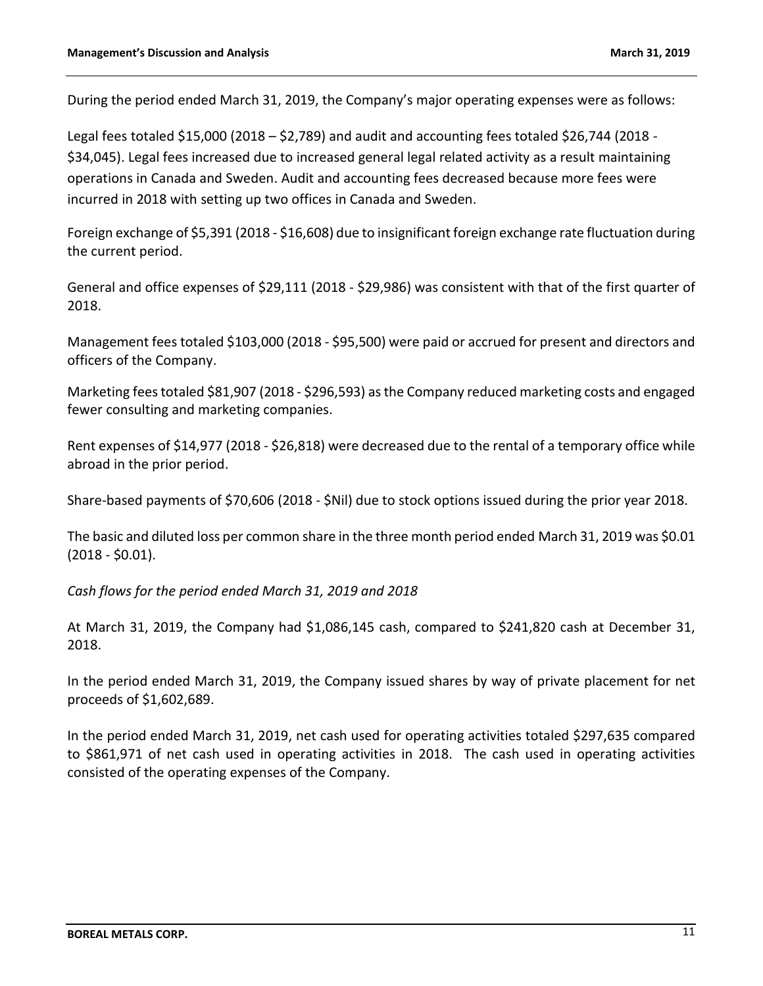During the period ended March 31, 2019, the Company's major operating expenses were as follows:

Legal fees totaled \$15,000 (2018 – \$2,789) and audit and accounting fees totaled \$26,744 (2018 - \$34,045). Legal fees increased due to increased general legal related activity as a result maintaining operations in Canada and Sweden. Audit and accounting fees decreased because more fees were incurred in 2018 with setting up two offices in Canada and Sweden.

Foreign exchange of \$5,391 (2018 - \$16,608) due to insignificant foreign exchange rate fluctuation during the current period.

General and office expenses of \$29,111 (2018 - \$29,986) was consistent with that of the first quarter of 2018.

Management fees totaled \$103,000 (2018 - \$95,500) were paid or accrued for present and directors and officers of the Company.

Marketing fees totaled \$81,907 (2018 - \$296,593) as the Company reduced marketing costs and engaged fewer consulting and marketing companies.

Rent expenses of \$14,977 (2018 - \$26,818) were decreased due to the rental of a temporary office while abroad in the prior period.

Share-based payments of \$70,606 (2018 - \$Nil) due to stock options issued during the prior year 2018.

The basic and diluted loss per common share in the three month period ended March 31, 2019 was \$0.01 (2018 - \$0.01).

*Cash flows for the period ended March 31, 2019 and 2018*

At March 31, 2019, the Company had \$1,086,145 cash, compared to \$241,820 cash at December 31, 2018.

In the period ended March 31, 2019, the Company issued shares by way of private placement for net proceeds of \$1,602,689.

In the period ended March 31, 2019, net cash used for operating activities totaled \$297,635 compared to \$861,971 of net cash used in operating activities in 2018. The cash used in operating activities consisted of the operating expenses of the Company.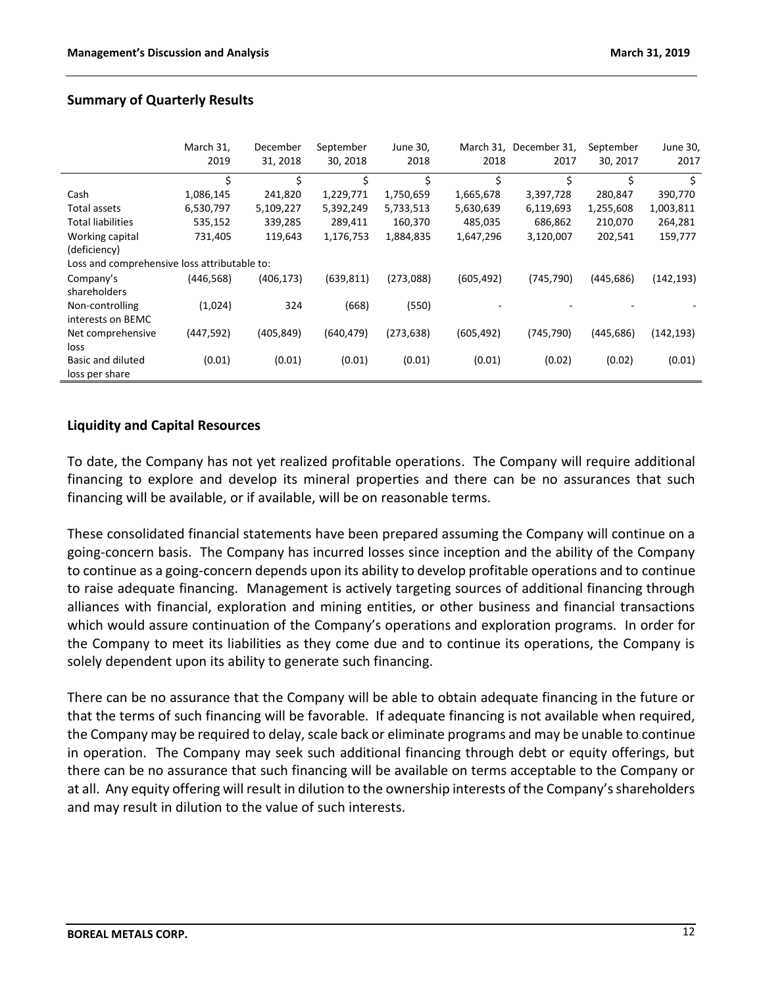|                                              | March 31,  | December   | September  | June 30,   |            | March 31, December 31, | September  | June 30,   |
|----------------------------------------------|------------|------------|------------|------------|------------|------------------------|------------|------------|
|                                              | 2019       | 31, 2018   | 30, 2018   | 2018       | 2018       | 2017                   | 30, 2017   | 2017       |
|                                              | \$         | \$         | \$         | \$         | \$         | Ś.                     | \$         | \$         |
| Cash                                         | 1,086,145  | 241,820    | 1,229,771  | 1,750,659  | 1,665,678  | 3,397,728              | 280,847    | 390,770    |
| Total assets                                 | 6,530,797  | 5,109,227  | 5,392,249  | 5,733,513  | 5,630,639  | 6,119,693              | 1,255,608  | 1,003,811  |
| <b>Total liabilities</b>                     | 535,152    | 339,285    | 289,411    | 160,370    | 485,035    | 686,862                | 210,070    | 264,281    |
| Working capital                              | 731,405    | 119,643    | 1,176,753  | 1,884,835  | 1,647,296  | 3,120,007              | 202,541    | 159,777    |
| (deficiency)                                 |            |            |            |            |            |                        |            |            |
| Loss and comprehensive loss attributable to: |            |            |            |            |            |                        |            |            |
| Company's                                    | (446, 568) | (406, 173) | (639, 811) | (273,088)  | (605, 492) | (745, 790)             | (445, 686) | (142,193)  |
| shareholders                                 |            |            |            |            |            |                        |            |            |
| Non-controlling                              | (1,024)    | 324        | (668)      | (550)      |            |                        |            |            |
| interests on BEMC                            |            |            |            |            |            |                        |            |            |
| Net comprehensive                            | (447, 592) | (405, 849) | (640, 479) | (273, 638) | (605, 492) | (745, 790)             | (445, 686) | (142, 193) |
| loss                                         |            |            |            |            |            |                        |            |            |
| Basic and diluted                            | (0.01)     | (0.01)     | (0.01)     | (0.01)     | (0.01)     | (0.02)                 | (0.02)     | (0.01)     |
| loss per share                               |            |            |            |            |            |                        |            |            |

## **Summary of Quarterly Results**

## **Liquidity and Capital Resources**

To date, the Company has not yet realized profitable operations. The Company will require additional financing to explore and develop its mineral properties and there can be no assurances that such financing will be available, or if available, will be on reasonable terms.

These consolidated financial statements have been prepared assuming the Company will continue on a going-concern basis. The Company has incurred losses since inception and the ability of the Company to continue as a going-concern depends upon its ability to develop profitable operations and to continue to raise adequate financing. Management is actively targeting sources of additional financing through alliances with financial, exploration and mining entities, or other business and financial transactions which would assure continuation of the Company's operations and exploration programs. In order for the Company to meet its liabilities as they come due and to continue its operations, the Company is solely dependent upon its ability to generate such financing.

There can be no assurance that the Company will be able to obtain adequate financing in the future or that the terms of such financing will be favorable. If adequate financing is not available when required, the Company may be required to delay, scale back or eliminate programs and may be unable to continue in operation. The Company may seek such additional financing through debt or equity offerings, but there can be no assurance that such financing will be available on terms acceptable to the Company or at all. Any equity offering will result in dilution to the ownership interests of the Company's shareholders and may result in dilution to the value of such interests.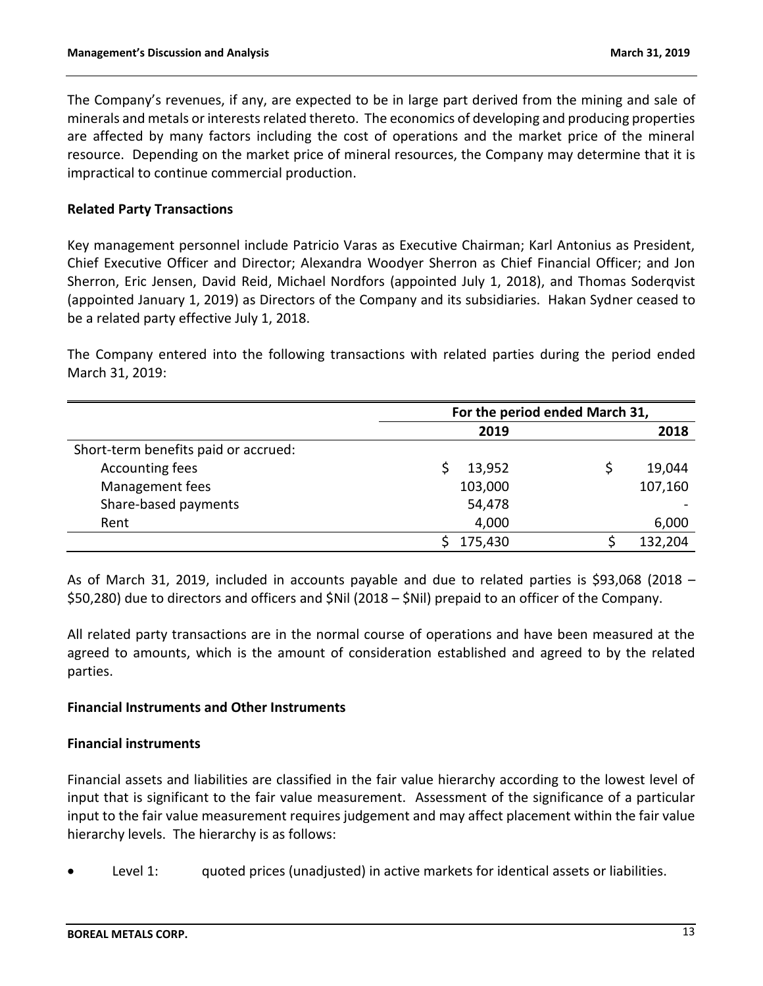The Company's revenues, if any, are expected to be in large part derived from the mining and sale of minerals and metals or interests related thereto. The economics of developing and producing properties are affected by many factors including the cost of operations and the market price of the mineral resource. Depending on the market price of mineral resources, the Company may determine that it is impractical to continue commercial production.

## **Related Party Transactions**

Key management personnel include Patricio Varas as Executive Chairman; Karl Antonius as President, Chief Executive Officer and Director; Alexandra Woodyer Sherron as Chief Financial Officer; and Jon Sherron, Eric Jensen, David Reid, Michael Nordfors (appointed July 1, 2018), and Thomas Soderqvist (appointed January 1, 2019) as Directors of the Company and its subsidiaries. Hakan Sydner ceased to be a related party effective July 1, 2018.

The Company entered into the following transactions with related parties during the period ended March 31, 2019:

|                                      | For the period ended March 31, |  |         |  |  |
|--------------------------------------|--------------------------------|--|---------|--|--|
|                                      | 2019                           |  | 2018    |  |  |
| Short-term benefits paid or accrued: |                                |  |         |  |  |
| Accounting fees                      | 13,952                         |  | 19,044  |  |  |
| Management fees                      | 103,000                        |  | 107,160 |  |  |
| Share-based payments                 | 54,478                         |  |         |  |  |
| Rent                                 | 4,000                          |  | 6,000   |  |  |
|                                      | 175,430                        |  | 132,204 |  |  |

As of March 31, 2019, included in accounts payable and due to related parties is \$93,068 (2018 – \$50,280) due to directors and officers and \$Nil (2018 – \$Nil) prepaid to an officer of the Company.

All related party transactions are in the normal course of operations and have been measured at the agreed to amounts, which is the amount of consideration established and agreed to by the related parties.

### **Financial Instruments and Other Instruments**

### **Financial instruments**

Financial assets and liabilities are classified in the fair value hierarchy according to the lowest level of input that is significant to the fair value measurement. Assessment of the significance of a particular input to the fair value measurement requires judgement and may affect placement within the fair value hierarchy levels. The hierarchy is as follows:

Level 1: guoted prices (unadjusted) in active markets for identical assets or liabilities.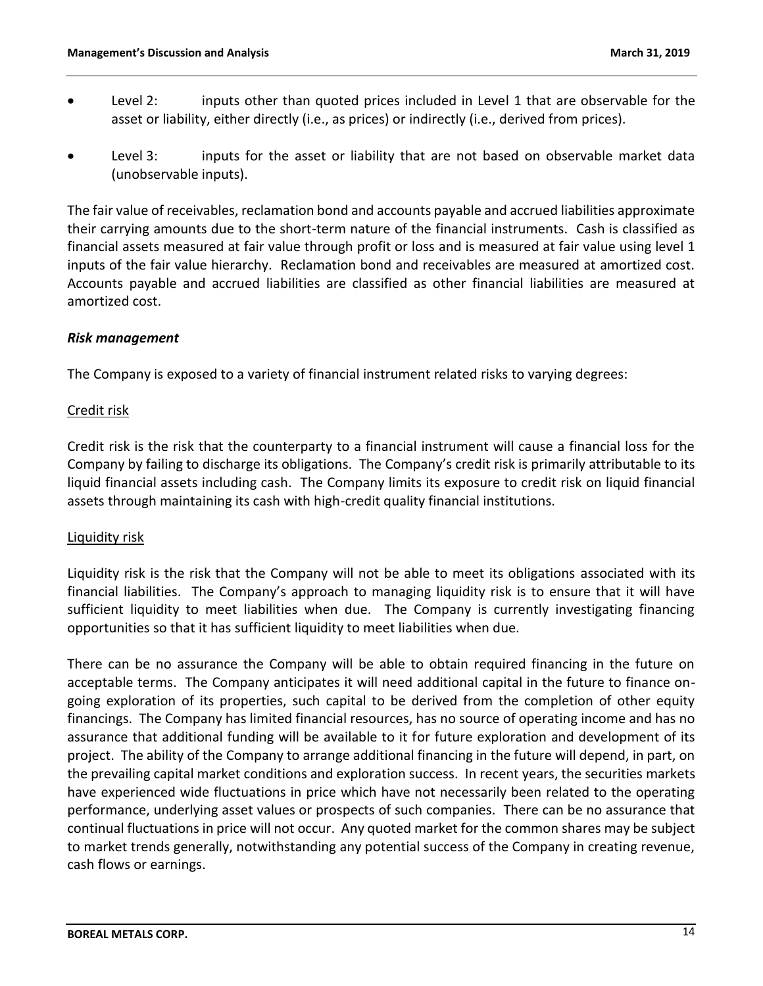- Level 2: inputs other than quoted prices included in Level 1 that are observable for the asset or liability, either directly (i.e., as prices) or indirectly (i.e., derived from prices).
- Level 3: inputs for the asset or liability that are not based on observable market data (unobservable inputs).

The fair value of receivables, reclamation bond and accounts payable and accrued liabilities approximate their carrying amounts due to the short-term nature of the financial instruments. Cash is classified as financial assets measured at fair value through profit or loss and is measured at fair value using level 1 inputs of the fair value hierarchy. Reclamation bond and receivables are measured at amortized cost. Accounts payable and accrued liabilities are classified as other financial liabilities are measured at amortized cost.

## *Risk management*

The Company is exposed to a variety of financial instrument related risks to varying degrees:

## Credit risk

Credit risk is the risk that the counterparty to a financial instrument will cause a financial loss for the Company by failing to discharge its obligations. The Company's credit risk is primarily attributable to its liquid financial assets including cash. The Company limits its exposure to credit risk on liquid financial assets through maintaining its cash with high-credit quality financial institutions.

### Liquidity risk

Liquidity risk is the risk that the Company will not be able to meet its obligations associated with its financial liabilities. The Company's approach to managing liquidity risk is to ensure that it will have sufficient liquidity to meet liabilities when due. The Company is currently investigating financing opportunities so that it has sufficient liquidity to meet liabilities when due.

There can be no assurance the Company will be able to obtain required financing in the future on acceptable terms. The Company anticipates it will need additional capital in the future to finance ongoing exploration of its properties, such capital to be derived from the completion of other equity financings. The Company has limited financial resources, has no source of operating income and has no assurance that additional funding will be available to it for future exploration and development of its project. The ability of the Company to arrange additional financing in the future will depend, in part, on the prevailing capital market conditions and exploration success. In recent years, the securities markets have experienced wide fluctuations in price which have not necessarily been related to the operating performance, underlying asset values or prospects of such companies. There can be no assurance that continual fluctuations in price will not occur. Any quoted market for the common shares may be subject to market trends generally, notwithstanding any potential success of the Company in creating revenue, cash flows or earnings.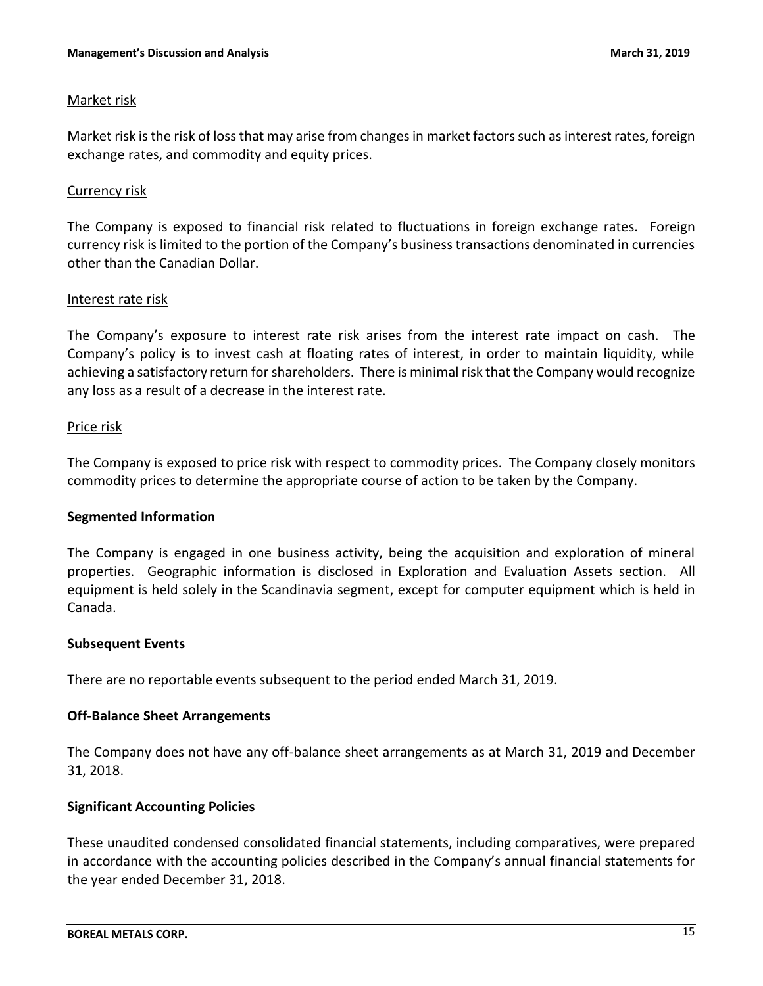### Market risk

Market risk is the risk of loss that may arise from changes in market factors such as interest rates, foreign exchange rates, and commodity and equity prices.

### Currency risk

The Company is exposed to financial risk related to fluctuations in foreign exchange rates. Foreign currency risk is limited to the portion of the Company's business transactions denominated in currencies other than the Canadian Dollar.

#### Interest rate risk

The Company's exposure to interest rate risk arises from the interest rate impact on cash. The Company's policy is to invest cash at floating rates of interest, in order to maintain liquidity, while achieving a satisfactory return for shareholders. There is minimal risk that the Company would recognize any loss as a result of a decrease in the interest rate.

#### Price risk

The Company is exposed to price risk with respect to commodity prices. The Company closely monitors commodity prices to determine the appropriate course of action to be taken by the Company.

### **Segmented Information**

The Company is engaged in one business activity, being the acquisition and exploration of mineral properties. Geographic information is disclosed in Exploration and Evaluation Assets section. All equipment is held solely in the Scandinavia segment, except for computer equipment which is held in Canada.

### **Subsequent Events**

There are no reportable events subsequent to the period ended March 31, 2019.

### **Off-Balance Sheet Arrangements**

The Company does not have any off-balance sheet arrangements as at March 31, 2019 and December 31, 2018.

### **Significant Accounting Policies**

These unaudited condensed consolidated financial statements, including comparatives, were prepared in accordance with the accounting policies described in the Company's annual financial statements for the year ended December 31, 2018.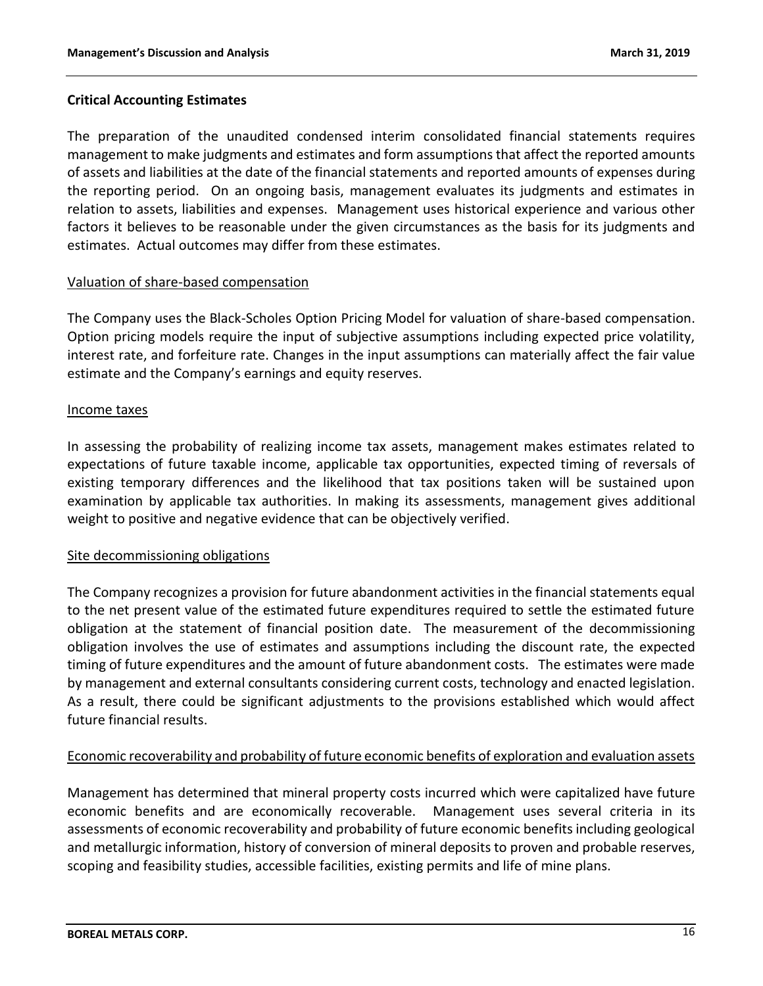## **Critical Accounting Estimates**

The preparation of the unaudited condensed interim consolidated financial statements requires management to make judgments and estimates and form assumptions that affect the reported amounts of assets and liabilities at the date of the financial statements and reported amounts of expenses during the reporting period. On an ongoing basis, management evaluates its judgments and estimates in relation to assets, liabilities and expenses. Management uses historical experience and various other factors it believes to be reasonable under the given circumstances as the basis for its judgments and estimates. Actual outcomes may differ from these estimates.

## Valuation of share-based compensation

The Company uses the Black-Scholes Option Pricing Model for valuation of share-based compensation. Option pricing models require the input of subjective assumptions including expected price volatility, interest rate, and forfeiture rate. Changes in the input assumptions can materially affect the fair value estimate and the Company's earnings and equity reserves.

## Income taxes

In assessing the probability of realizing income tax assets, management makes estimates related to expectations of future taxable income, applicable tax opportunities, expected timing of reversals of existing temporary differences and the likelihood that tax positions taken will be sustained upon examination by applicable tax authorities. In making its assessments, management gives additional weight to positive and negative evidence that can be objectively verified.

### Site decommissioning obligations

The Company recognizes a provision for future abandonment activities in the financial statements equal to the net present value of the estimated future expenditures required to settle the estimated future obligation at the statement of financial position date. The measurement of the decommissioning obligation involves the use of estimates and assumptions including the discount rate, the expected timing of future expenditures and the amount of future abandonment costs. The estimates were made by management and external consultants considering current costs, technology and enacted legislation. As a result, there could be significant adjustments to the provisions established which would affect future financial results.

## Economic recoverability and probability of future economic benefits of exploration and evaluation assets

Management has determined that mineral property costs incurred which were capitalized have future economic benefits and are economically recoverable. Management uses several criteria in its assessments of economic recoverability and probability of future economic benefits including geological and metallurgic information, history of conversion of mineral deposits to proven and probable reserves, scoping and feasibility studies, accessible facilities, existing permits and life of mine plans.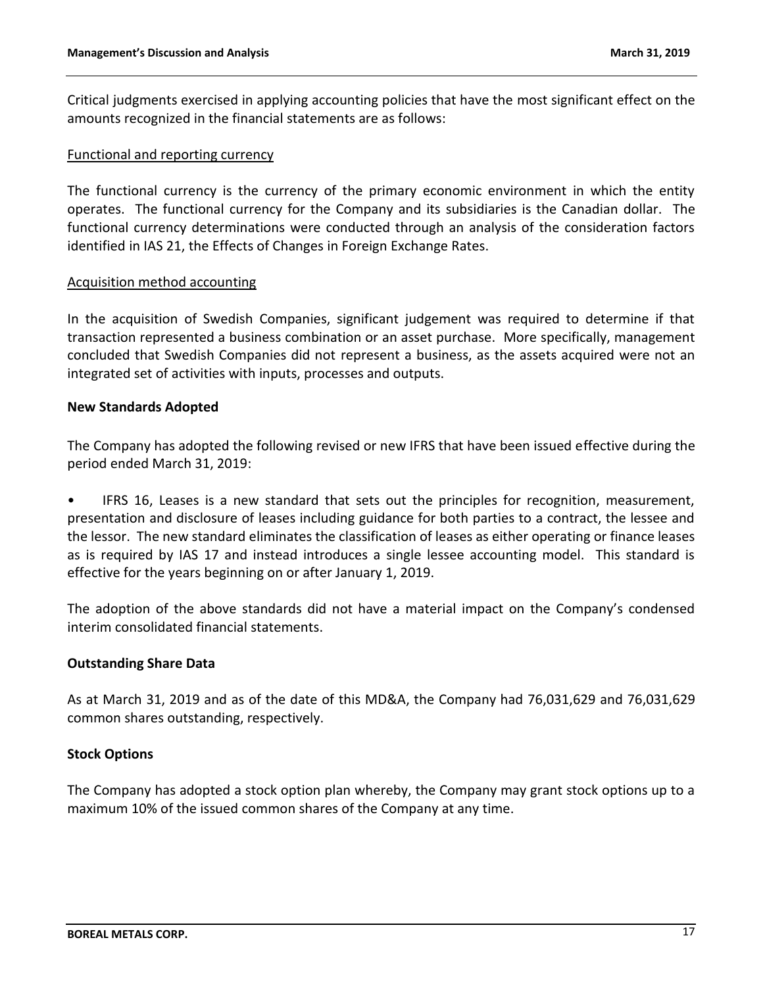Critical judgments exercised in applying accounting policies that have the most significant effect on the amounts recognized in the financial statements are as follows:

#### Functional and reporting currency

The functional currency is the currency of the primary economic environment in which the entity operates. The functional currency for the Company and its subsidiaries is the Canadian dollar. The functional currency determinations were conducted through an analysis of the consideration factors identified in IAS 21, the Effects of Changes in Foreign Exchange Rates.

#### Acquisition method accounting

In the acquisition of Swedish Companies, significant judgement was required to determine if that transaction represented a business combination or an asset purchase. More specifically, management concluded that Swedish Companies did not represent a business, as the assets acquired were not an integrated set of activities with inputs, processes and outputs.

#### **New Standards Adopted**

The Company has adopted the following revised or new IFRS that have been issued effective during the period ended March 31, 2019:

• IFRS 16, Leases is a new standard that sets out the principles for recognition, measurement, presentation and disclosure of leases including guidance for both parties to a contract, the lessee and the lessor. The new standard eliminates the classification of leases as either operating or finance leases as is required by IAS 17 and instead introduces a single lessee accounting model. This standard is effective for the years beginning on or after January 1, 2019.

The adoption of the above standards did not have a material impact on the Company's condensed interim consolidated financial statements.

### **Outstanding Share Data**

As at March 31, 2019 and as of the date of this MD&A, the Company had 76,031,629 and 76,031,629 common shares outstanding, respectively.

### **Stock Options**

The Company has adopted a stock option plan whereby, the Company may grant stock options up to a maximum 10% of the issued common shares of the Company at any time.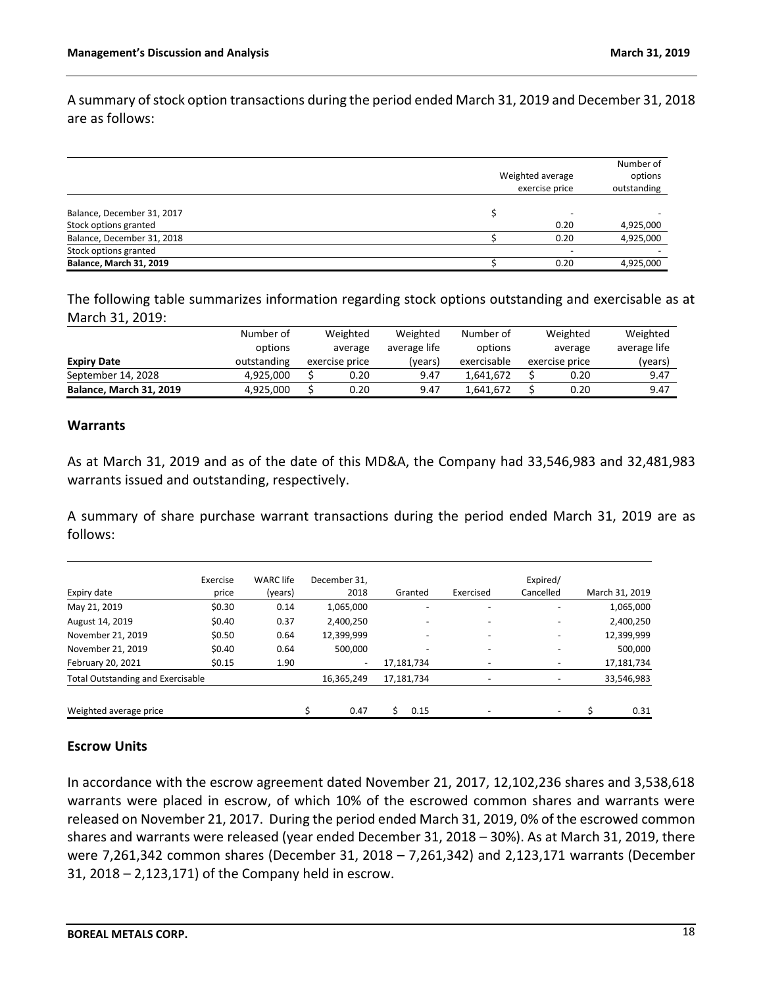A summary of stock option transactions during the period ended March 31, 2019 and December 31, 2018 are as follows:

|                                | Weighted average |                          |           |  |
|--------------------------------|------------------|--------------------------|-----------|--|
|                                |                  | outstanding              |           |  |
|                                |                  |                          |           |  |
| Balance, December 31, 2017     |                  | $\overline{\phantom{a}}$ |           |  |
| Stock options granted          |                  | 0.20                     | 4,925,000 |  |
| Balance, December 31, 2018     |                  | 0.20                     | 4,925,000 |  |
| Stock options granted          |                  | $\overline{\phantom{a}}$ |           |  |
| <b>Balance, March 31, 2019</b> |                  | 0.20                     | 4,925,000 |  |

The following table summarizes information regarding stock options outstanding and exercisable as at March 31, 2019:

|                                | Number of<br>options | Weighted<br>average | Weighted<br>average life | Number of<br>options | Weighted<br>average |                | Weighted<br>average life |
|--------------------------------|----------------------|---------------------|--------------------------|----------------------|---------------------|----------------|--------------------------|
| <b>Expiry Date</b>             | outstanding          | exercise price      | (years)                  | exercisable          |                     | exercise price | (years)                  |
| September 14, 2028             | 4.925.000            | 0.20                | 9.47                     | 1.641.672            |                     | 0.20           | 9.47                     |
| <b>Balance, March 31, 2019</b> | 4.925.000            | 0.20                | 9.47                     | 1.641.672            |                     | 0.20           | 9.47                     |

### **Warrants**

As at March 31, 2019 and as of the date of this MD&A, the Company had 33,546,983 and 32,481,983 warrants issued and outstanding, respectively.

A summary of share purchase warrant transactions during the period ended March 31, 2019 are as follows:

|                                          | Exercise | <b>WARC</b> life | December 31.             |            |           | Expired/  |                |
|------------------------------------------|----------|------------------|--------------------------|------------|-----------|-----------|----------------|
| Expiry date                              | price    | (years)          | 2018                     | Granted    | Exercised | Cancelled | March 31, 2019 |
| May 21, 2019                             | \$0.30   | 0.14             | 1,065,000                | ٠          |           |           | 1,065,000      |
| August 14, 2019                          | \$0.40   | 0.37             | 2,400,250                | ٠          |           |           | 2,400,250      |
| November 21, 2019                        | \$0.50   | 0.64             | 12,399,999               | ٠          |           |           | 12,399,999     |
| November 21, 2019                        | \$0.40   | 0.64             | 500,000                  | ٠          |           |           | 500,000        |
| February 20, 2021                        | \$0.15   | 1.90             | $\overline{\phantom{0}}$ | 17,181,734 |           |           | 17,181,734     |
| <b>Total Outstanding and Exercisable</b> |          |                  | 16,365,249               | 17,181,734 | ۰         |           | 33,546,983     |
| Weighted average price                   |          |                  | 0.47                     | 0.15       |           |           | 0.31           |

### **Escrow Units**

In accordance with the escrow agreement dated November 21, 2017, 12,102,236 shares and 3,538,618 warrants were placed in escrow, of which 10% of the escrowed common shares and warrants were released on November 21, 2017. During the period ended March 31, 2019, 0% of the escrowed common shares and warrants were released (year ended December 31, 2018 – 30%). As at March 31, 2019, there were 7,261,342 common shares (December 31, 2018 – 7,261,342) and 2,123,171 warrants (December 31, 2018 – 2,123,171) of the Company held in escrow.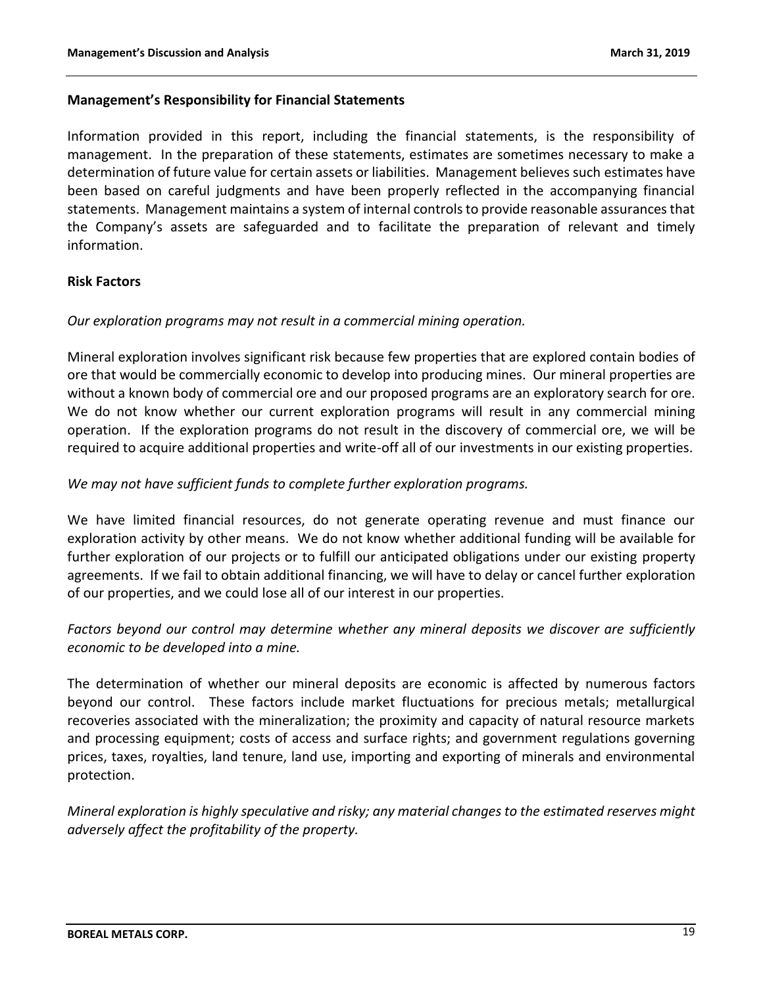## **Management's Responsibility for Financial Statements**

Information provided in this report, including the financial statements, is the responsibility of management. In the preparation of these statements, estimates are sometimes necessary to make a determination of future value for certain assets or liabilities. Management believes such estimates have been based on careful judgments and have been properly reflected in the accompanying financial statements. Management maintains a system of internal controls to provide reasonable assurances that the Company's assets are safeguarded and to facilitate the preparation of relevant and timely information.

## **Risk Factors**

## *Our exploration programs may not result in a commercial mining operation.*

Mineral exploration involves significant risk because few properties that are explored contain bodies of ore that would be commercially economic to develop into producing mines. Our mineral properties are without a known body of commercial ore and our proposed programs are an exploratory search for ore. We do not know whether our current exploration programs will result in any commercial mining operation. If the exploration programs do not result in the discovery of commercial ore, we will be required to acquire additional properties and write-off all of our investments in our existing properties.

## *We may not have sufficient funds to complete further exploration programs.*

We have limited financial resources, do not generate operating revenue and must finance our exploration activity by other means. We do not know whether additional funding will be available for further exploration of our projects or to fulfill our anticipated obligations under our existing property agreements. If we fail to obtain additional financing, we will have to delay or cancel further exploration of our properties, and we could lose all of our interest in our properties.

# *Factors beyond our control may determine whether any mineral deposits we discover are sufficiently economic to be developed into a mine.*

The determination of whether our mineral deposits are economic is affected by numerous factors beyond our control. These factors include market fluctuations for precious metals; metallurgical recoveries associated with the mineralization; the proximity and capacity of natural resource markets and processing equipment; costs of access and surface rights; and government regulations governing prices, taxes, royalties, land tenure, land use, importing and exporting of minerals and environmental protection.

*Mineral exploration is highly speculative and risky; any material changes to the estimated reserves might adversely affect the profitability of the property.*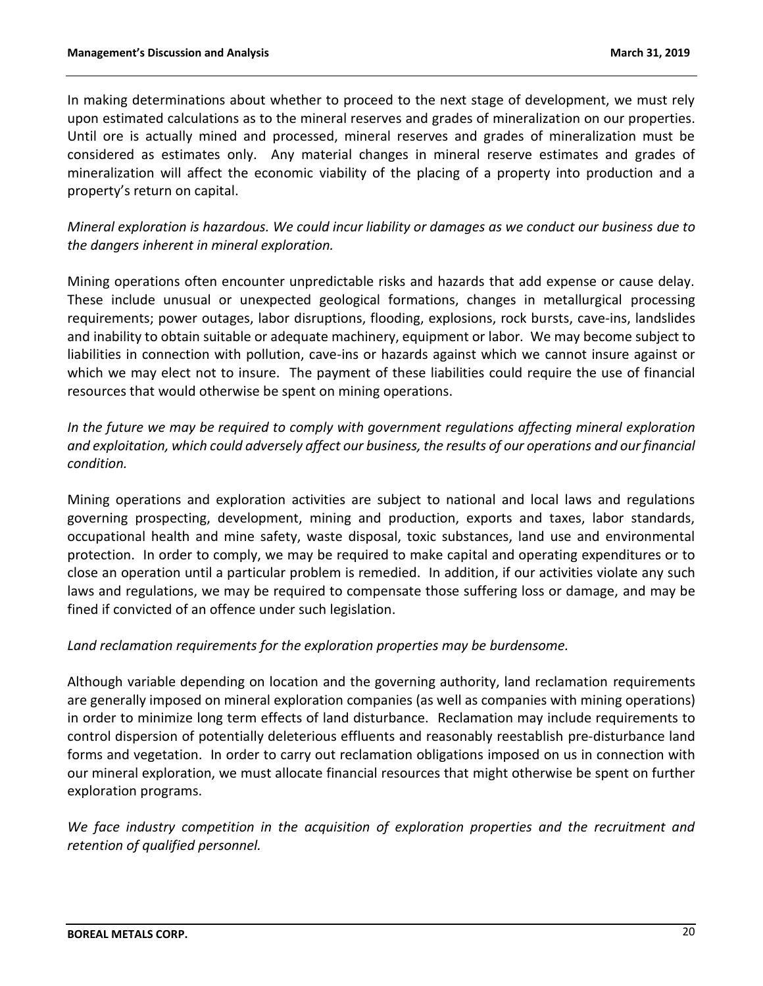In making determinations about whether to proceed to the next stage of development, we must rely upon estimated calculations as to the mineral reserves and grades of mineralization on our properties. Until ore is actually mined and processed, mineral reserves and grades of mineralization must be considered as estimates only. Any material changes in mineral reserve estimates and grades of mineralization will affect the economic viability of the placing of a property into production and a property's return on capital.

*Mineral exploration is hazardous. We could incur liability or damages as we conduct our business due to the dangers inherent in mineral exploration.*

Mining operations often encounter unpredictable risks and hazards that add expense or cause delay. These include unusual or unexpected geological formations, changes in metallurgical processing requirements; power outages, labor disruptions, flooding, explosions, rock bursts, cave-ins, landslides and inability to obtain suitable or adequate machinery, equipment or labor. We may become subject to liabilities in connection with pollution, cave-ins or hazards against which we cannot insure against or which we may elect not to insure. The payment of these liabilities could require the use of financial resources that would otherwise be spent on mining operations.

*In the future we may be required to comply with government regulations affecting mineral exploration and exploitation, which could adversely affect our business, the results of our operations and our financial condition.*

Mining operations and exploration activities are subject to national and local laws and regulations governing prospecting, development, mining and production, exports and taxes, labor standards, occupational health and mine safety, waste disposal, toxic substances, land use and environmental protection. In order to comply, we may be required to make capital and operating expenditures or to close an operation until a particular problem is remedied. In addition, if our activities violate any such laws and regulations, we may be required to compensate those suffering loss or damage, and may be fined if convicted of an offence under such legislation.

*Land reclamation requirements for the exploration properties may be burdensome.*

Although variable depending on location and the governing authority, land reclamation requirements are generally imposed on mineral exploration companies (as well as companies with mining operations) in order to minimize long term effects of land disturbance. Reclamation may include requirements to control dispersion of potentially deleterious effluents and reasonably reestablish pre-disturbance land forms and vegetation. In order to carry out reclamation obligations imposed on us in connection with our mineral exploration, we must allocate financial resources that might otherwise be spent on further exploration programs.

*We face industry competition in the acquisition of exploration properties and the recruitment and retention of qualified personnel.*